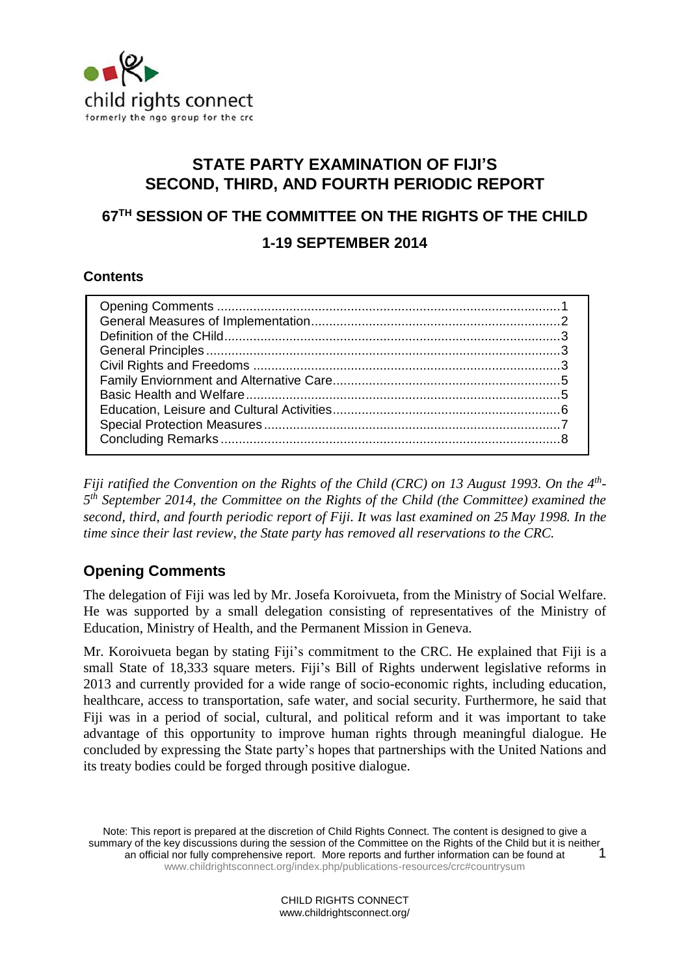

# **STATE PARTY EXAMINATION OF FIJI'S SECOND, THIRD, AND FOURTH PERIODIC REPORT**

# **67TH SESSION OF THE COMMITTEE ON THE RIGHTS OF THE CHILD 1-19 SEPTEMBER 2014**

### **Contents**

*Fiji ratified the Convention on the Rights of the Child (CRC) on 13 August 1993. On the 4th - 5 th September 2014, the Committee on the Rights of the Child (the Committee) examined the second, third, and fourth periodic report of Fiji. It was last examined on 25 May 1998. In the time since their last review, the State party has removed all reservations to the CRC.* 

# <span id="page-0-0"></span>**Opening Comments**

The delegation of Fiji was led by Mr. Josefa Koroivueta, from the Ministry of Social Welfare. He was supported by a small delegation consisting of representatives of the Ministry of Education, Ministry of Health, and the Permanent Mission in Geneva.

Mr. Koroivueta began by stating Fiji's commitment to the CRC. He explained that Fiji is a small State of 18,333 square meters. Fiji's Bill of Rights underwent legislative reforms in 2013 and currently provided for a wide range of socio-economic rights, including education, healthcare, access to transportation, safe water, and social security. Furthermore, he said that Fiji was in a period of social, cultural, and political reform and it was important to take advantage of this opportunity to improve human rights through meaningful dialogue. He concluded by expressing the State party's hopes that partnerships with the United Nations and its treaty bodies could be forged through positive dialogue.

Note: This report is prepared at the discretion of Child Rights Connect. The content is designed to give a summary of the key discussions during the session of the Committee on the Rights of the Child but it is neither an official nor fully comprehensive report. More reports and further information can be found at [www.childrightsconnect.org/index.php/publications-resources/crc#countrysum](http://www.childrightsconnect.org/index.php/publications-resources/crc#countrysum) 1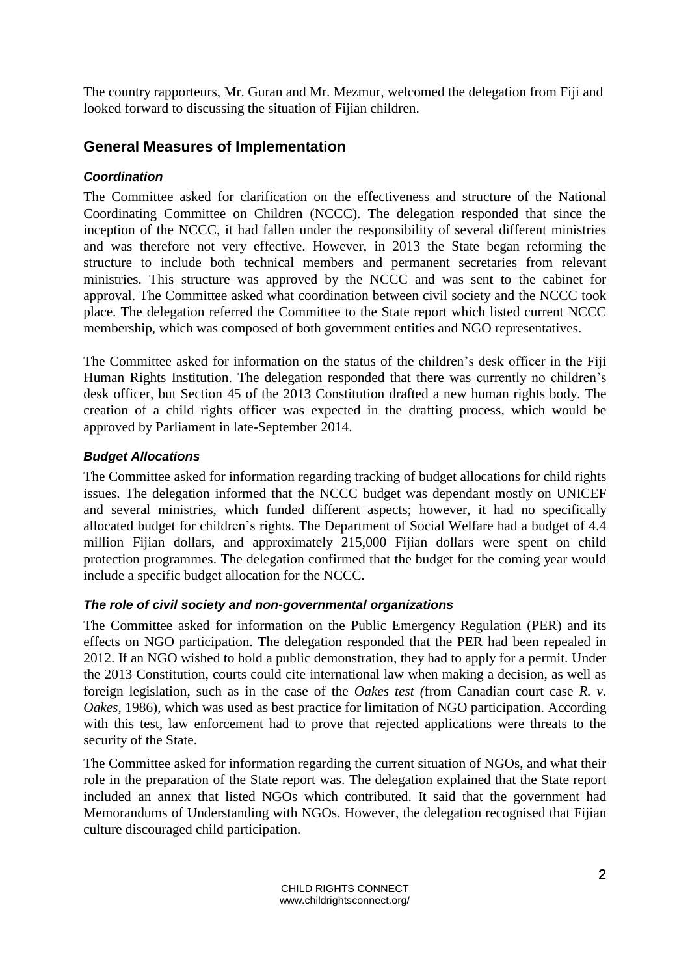The country rapporteurs, Mr. Guran and Mr. Mezmur, welcomed the delegation from Fiji and looked forward to discussing the situation of Fijian children.

# **General Measures of Implementation**

### *Coordination*

The Committee asked for clarification on the effectiveness and structure of the National Coordinating Committee on Children (NCCC). The delegation responded that since the inception of the NCCC, it had fallen under the responsibility of several different ministries and was therefore not very effective. However, in 2013 the State began reforming the structure to include both technical members and permanent secretaries from relevant ministries. This structure was approved by the NCCC and was sent to the cabinet for approval. The Committee asked what coordination between civil society and the NCCC took place. The delegation referred the Committee to the State report which listed current NCCC membership, which was composed of both government entities and NGO representatives.

The Committee asked for information on the status of the children's desk officer in the Fiji Human Rights Institution. The delegation responded that there was currently no children's desk officer, but Section 45 of the 2013 Constitution drafted a new human rights body. The creation of a child rights officer was expected in the drafting process, which would be approved by Parliament in late-September 2014.

### *Budget Allocations*

The Committee asked for information regarding tracking of budget allocations for child rights issues. The delegation informed that the NCCC budget was dependant mostly on UNICEF and several ministries, which funded different aspects; however, it had no specifically allocated budget for children's rights. The Department of Social Welfare had a budget of 4.4 million Fijian dollars, and approximately 215,000 Fijian dollars were spent on child protection programmes. The delegation confirmed that the budget for the coming year would include a specific budget allocation for the NCCC.

### *The role of civil society and non-governmental organizations*

The Committee asked for information on the Public Emergency Regulation (PER) and its effects on NGO participation. The delegation responded that the PER had been repealed in 2012. If an NGO wished to hold a public demonstration, they had to apply for a permit. Under the 2013 Constitution, courts could cite international law when making a decision, as well as foreign legislation, such as in the case of the *Oakes test (*from Canadian court case *R. v. Oakes,* 1986), which was used as best practice for limitation of NGO participation. According with this test, law enforcement had to prove that rejected applications were threats to the security of the State.

The Committee asked for information regarding the current situation of NGOs, and what their role in the preparation of the State report was. The delegation explained that the State report included an annex that listed NGOs which contributed. It said that the government had Memorandums of Understanding with NGOs. However, the delegation recognised that Fijian culture discouraged child participation.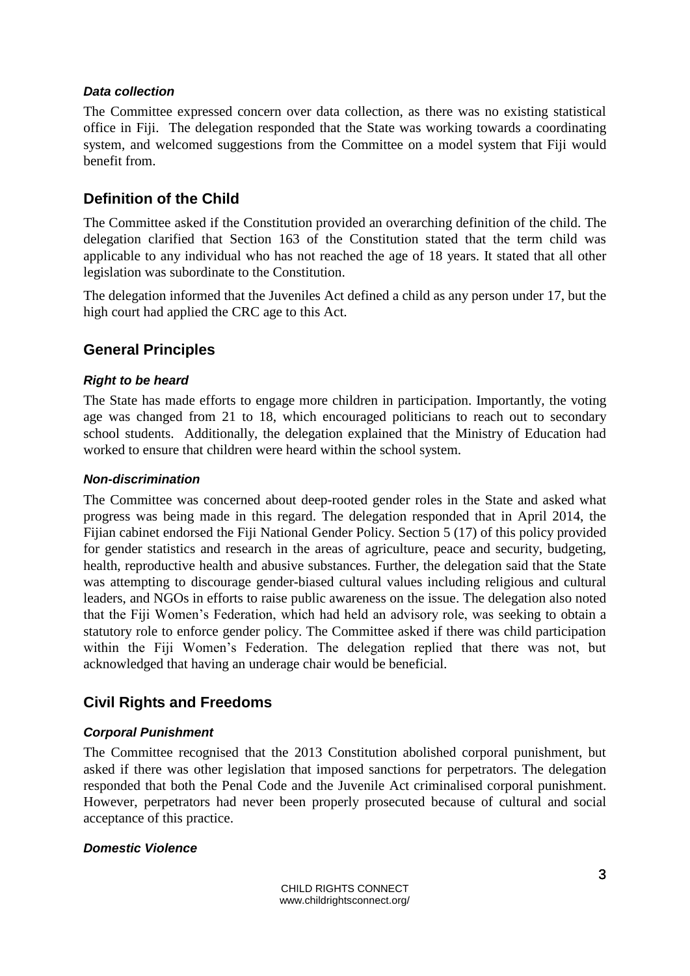#### *Data collection*

The Committee expressed concern over data collection, as there was no existing statistical office in Fiji. The delegation responded that the State was working towards a coordinating system, and welcomed suggestions from the Committee on a model system that Fiji would benefit from.

# **Definition of the Child**

The Committee asked if the Constitution provided an overarching definition of the child. The delegation clarified that Section 163 of the Constitution stated that the term child was applicable to any individual who has not reached the age of 18 years. It stated that all other legislation was subordinate to the Constitution.

The delegation informed that the Juveniles Act defined a child as any person under 17, but the high court had applied the CRC age to this Act.

# **General Principles**

#### *Right to be heard*

The State has made efforts to engage more children in participation. Importantly, the voting age was changed from 21 to 18, which encouraged politicians to reach out to secondary school students. Additionally, the delegation explained that the Ministry of Education had worked to ensure that children were heard within the school system.

#### *Non-discrimination*

The Committee was concerned about deep-rooted gender roles in the State and asked what progress was being made in this regard. The delegation responded that in April 2014, the Fijian cabinet endorsed the Fiji National Gender Policy. Section 5 (17) of this policy provided for gender statistics and research in the areas of agriculture, peace and security, budgeting, health, reproductive health and abusive substances. Further, the delegation said that the State was attempting to discourage gender-biased cultural values including religious and cultural leaders, and NGOs in efforts to raise public awareness on the issue. The delegation also noted that the Fiji Women's Federation, which had held an advisory role, was seeking to obtain a statutory role to enforce gender policy. The Committee asked if there was child participation within the Fiji Women's Federation. The delegation replied that there was not, but acknowledged that having an underage chair would be beneficial.

# **Civil Rights and Freedoms**

### *Corporal Punishment*

The Committee recognised that the 2013 Constitution abolished corporal punishment, but asked if there was other legislation that imposed sanctions for perpetrators. The delegation responded that both the Penal Code and the Juvenile Act criminalised corporal punishment. However, perpetrators had never been properly prosecuted because of cultural and social acceptance of this practice.

#### *Domestic Violence*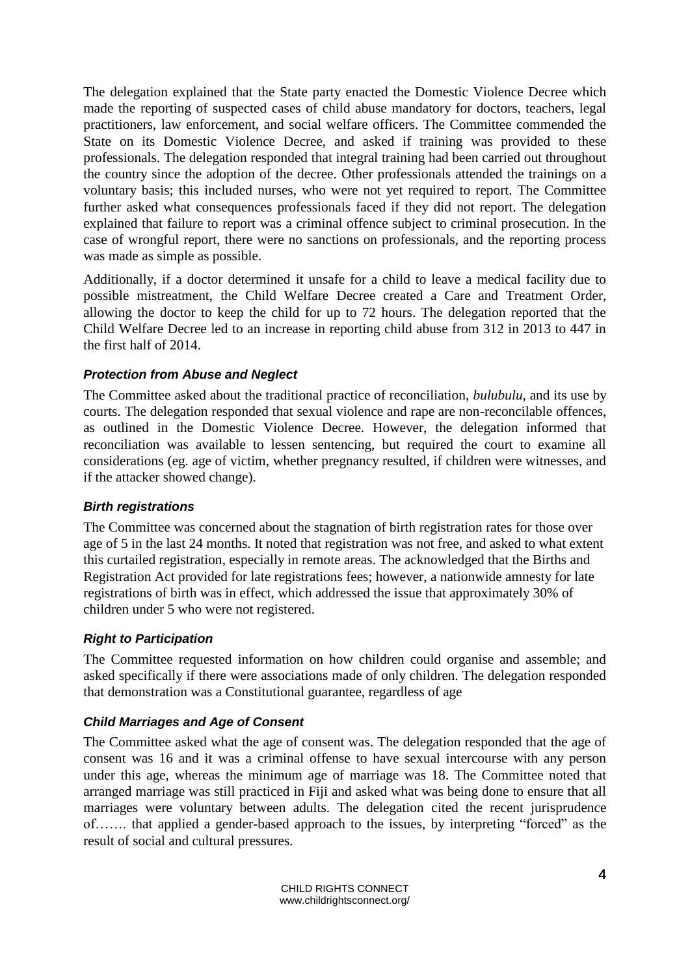The delegation explained that the State party enacted the Domestic Violence Decree which made the reporting of suspected cases of child abuse mandatory for doctors, teachers, legal practitioners, law enforcement, and social welfare officers. The Committee commended the State on its Domestic Violence Decree, and asked if training was provided to these professionals. The delegation responded that integral training had been carried out throughout the country since the adoption of the decree. Other professionals attended the trainings on a voluntary basis; this included nurses, who were not yet required to report. The Committee further asked what consequences professionals faced if they did not report. The delegation explained that failure to report was a criminal offence subject to criminal prosecution. In the case of wrongful report, there were no sanctions on professionals, and the reporting process was made as simple as possible.

Additionally, if a doctor determined it unsafe for a child to leave a medical facility due to possible mistreatment, the Child Welfare Decree created a Care and Treatment Order, allowing the doctor to keep the child for up to 72 hours. The delegation reported that the Child Welfare Decree led to an increase in reporting child abuse from 312 in 2013 to 447 in the first half of 2014.

#### *Protection from Abuse and Neglect*

The Committee asked about the traditional practice of reconciliation, *bulubulu*, and its use by courts. The delegation responded that sexual violence and rape are non-reconcilable offences, as outlined in the Domestic Violence Decree. However, the delegation informed that reconciliation was available to lessen sentencing, but required the court to examine all considerations (eg. age of victim, whether pregnancy resulted, if children were witnesses, and if the attacker showed change).

#### *Birth registrations*

The Committee was concerned about the stagnation of birth registration rates for those over age of 5 in the last 24 months. It noted that registration was not free, and asked to what extent this curtailed registration, especially in remote areas. The acknowledged that the Births and Registration Act provided for late registrations fees; however, a nationwide amnesty for late registrations of birth was in effect, which addressed the issue that approximately 30% of children under 5 who were not registered.

### *Right to Participation*

The Committee requested information on how children could organise and assemble; and asked specifically if there were associations made of only children. The delegation responded that demonstration was a Constitutional guarantee, regardless of age

### *Child Marriages and Age of Consent*

The Committee asked what the age of consent was. The delegation responded that the age of consent was 16 and it was a criminal offense to have sexual intercourse with any person under this age, whereas the minimum age of marriage was 18. The Committee noted that arranged marriage was still practiced in Fiji and asked what was being done to ensure that all marriages were voluntary between adults. The delegation cited the recent jurisprudence of……. that applied a gender-based approach to the issues, by interpreting "forced" as the result of social and cultural pressures.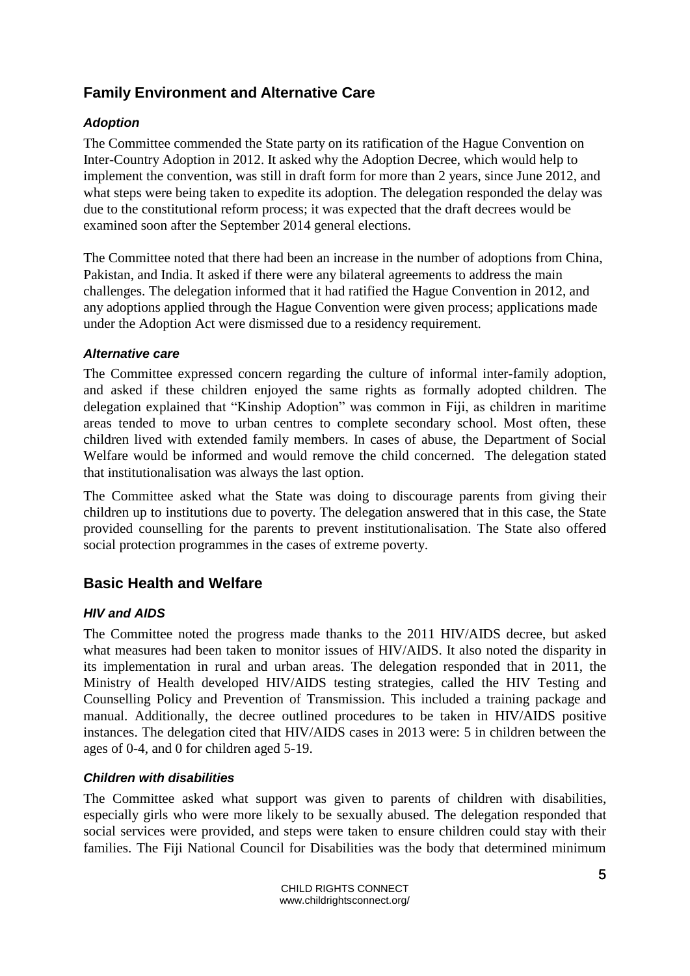# **Family Environment and Alternative Care**

### *Adoption*

The Committee commended the State party on its ratification of the Hague Convention on Inter-Country Adoption in 2012. It asked why the Adoption Decree, which would help to implement the convention, was still in draft form for more than 2 years, since June 2012, and what steps were being taken to expedite its adoption. The delegation responded the delay was due to the constitutional reform process; it was expected that the draft decrees would be examined soon after the September 2014 general elections.

The Committee noted that there had been an increase in the number of adoptions from China, Pakistan, and India. It asked if there were any bilateral agreements to address the main challenges. The delegation informed that it had ratified the Hague Convention in 2012, and any adoptions applied through the Hague Convention were given process; applications made under the Adoption Act were dismissed due to a residency requirement.

### *Alternative care*

The Committee expressed concern regarding the culture of informal inter-family adoption, and asked if these children enjoyed the same rights as formally adopted children. The delegation explained that "Kinship Adoption" was common in Fiji, as children in maritime areas tended to move to urban centres to complete secondary school. Most often, these children lived with extended family members. In cases of abuse, the Department of Social Welfare would be informed and would remove the child concerned. The delegation stated that institutionalisation was always the last option.

The Committee asked what the State was doing to discourage parents from giving their children up to institutions due to poverty. The delegation answered that in this case, the State provided counselling for the parents to prevent institutionalisation. The State also offered social protection programmes in the cases of extreme poverty.

### **Basic Health and Welfare**

### *HIV and AIDS*

The Committee noted the progress made thanks to the 2011 HIV/AIDS decree, but asked what measures had been taken to monitor issues of HIV/AIDS. It also noted the disparity in its implementation in rural and urban areas. The delegation responded that in 2011, the Ministry of Health developed HIV/AIDS testing strategies, called the HIV Testing and Counselling Policy and Prevention of Transmission. This included a training package and manual. Additionally, the decree outlined procedures to be taken in HIV/AIDS positive instances. The delegation cited that HIV/AIDS cases in 2013 were: 5 in children between the ages of 0-4, and 0 for children aged 5-19.

### *Children with disabilities*

The Committee asked what support was given to parents of children with disabilities, especially girls who were more likely to be sexually abused. The delegation responded that social services were provided, and steps were taken to ensure children could stay with their families. The Fiji National Council for Disabilities was the body that determined minimum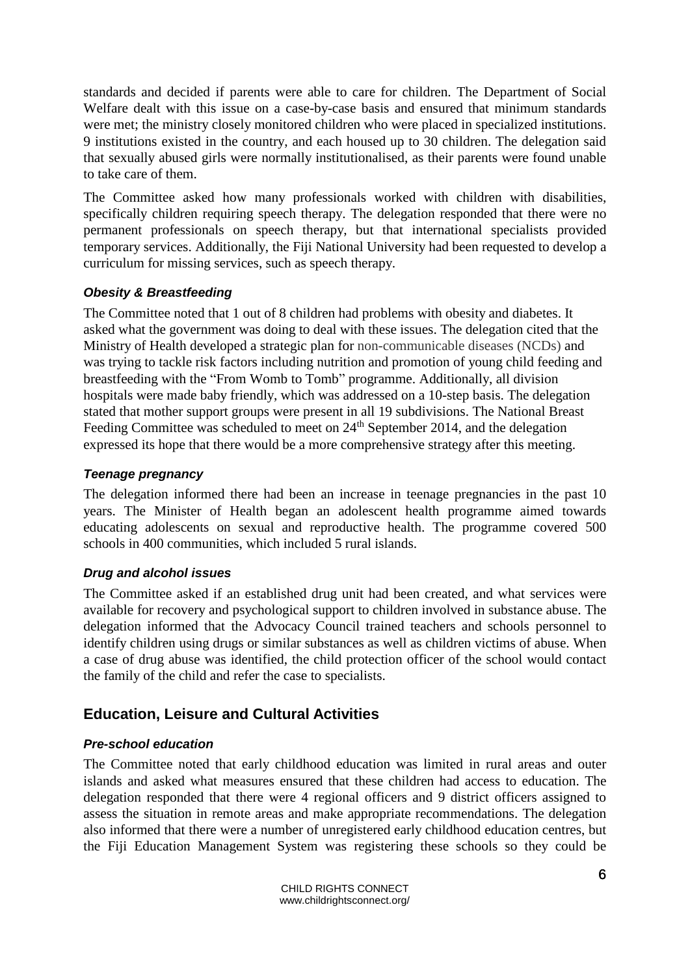standards and decided if parents were able to care for children. The Department of Social Welfare dealt with this issue on a case-by-case basis and ensured that minimum standards were met; the ministry closely monitored children who were placed in specialized institutions. 9 institutions existed in the country, and each housed up to 30 children. The delegation said that sexually abused girls were normally institutionalised, as their parents were found unable to take care of them.

The Committee asked how many professionals worked with children with disabilities, specifically children requiring speech therapy. The delegation responded that there were no permanent professionals on speech therapy, but that international specialists provided temporary services. Additionally, the Fiji National University had been requested to develop a curriculum for missing services, such as speech therapy.

### *Obesity & Breastfeeding*

The Committee noted that 1 out of 8 children had problems with obesity and diabetes. It asked what the government was doing to deal with these issues. The delegation cited that the Ministry of Health developed a strategic plan for non-communicable diseases (NCDs) and was trying to tackle risk factors including nutrition and promotion of young child feeding and breastfeeding with the "From Womb to Tomb" programme. Additionally, all division hospitals were made baby friendly, which was addressed on a 10-step basis. The delegation stated that mother support groups were present in all 19 subdivisions. The National Breast Feeding Committee was scheduled to meet on 24<sup>th</sup> September 2014, and the delegation expressed its hope that there would be a more comprehensive strategy after this meeting.

### *Teenage pregnancy*

The delegation informed there had been an increase in teenage pregnancies in the past 10 years. The Minister of Health began an adolescent health programme aimed towards educating adolescents on sexual and reproductive health. The programme covered 500 schools in 400 communities, which included 5 rural islands.

### *Drug and alcohol issues*

The Committee asked if an established drug unit had been created, and what services were available for recovery and psychological support to children involved in substance abuse. The delegation informed that the Advocacy Council trained teachers and schools personnel to identify children using drugs or similar substances as well as children victims of abuse. When a case of drug abuse was identified, the child protection officer of the school would contact the family of the child and refer the case to specialists.

# **Education, Leisure and Cultural Activities**

### *Pre-school education*

The Committee noted that early childhood education was limited in rural areas and outer islands and asked what measures ensured that these children had access to education. The delegation responded that there were 4 regional officers and 9 district officers assigned to assess the situation in remote areas and make appropriate recommendations. The delegation also informed that there were a number of unregistered early childhood education centres, but the Fiji Education Management System was registering these schools so they could be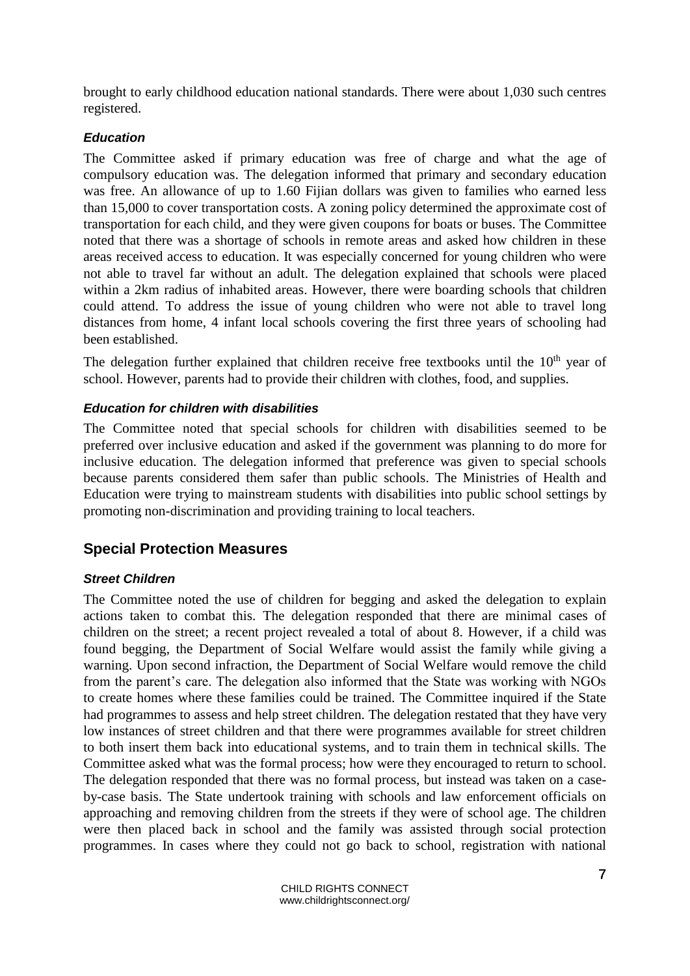brought to early childhood education national standards. There were about 1,030 such centres registered.

### *Education*

The Committee asked if primary education was free of charge and what the age of compulsory education was. The delegation informed that primary and secondary education was free. An allowance of up to 1.60 Fijian dollars was given to families who earned less than 15,000 to cover transportation costs. A zoning policy determined the approximate cost of transportation for each child, and they were given coupons for boats or buses. The Committee noted that there was a shortage of schools in remote areas and asked how children in these areas received access to education. It was especially concerned for young children who were not able to travel far without an adult. The delegation explained that schools were placed within a 2km radius of inhabited areas. However, there were boarding schools that children could attend. To address the issue of young children who were not able to travel long distances from home, 4 infant local schools covering the first three years of schooling had been established.

The delegation further explained that children receive free textbooks until the  $10<sup>th</sup>$  year of school. However, parents had to provide their children with clothes, food, and supplies.

### *Education for children with disabilities*

The Committee noted that special schools for children with disabilities seemed to be preferred over inclusive education and asked if the government was planning to do more for inclusive education. The delegation informed that preference was given to special schools because parents considered them safer than public schools. The Ministries of Health and Education were trying to mainstream students with disabilities into public school settings by promoting non-discrimination and providing training to local teachers.

### **Special Protection Measures**

### *Street Children*

The Committee noted the use of children for begging and asked the delegation to explain actions taken to combat this. The delegation responded that there are minimal cases of children on the street; a recent project revealed a total of about 8. However, if a child was found begging, the Department of Social Welfare would assist the family while giving a warning. Upon second infraction, the Department of Social Welfare would remove the child from the parent's care. The delegation also informed that the State was working with NGOs to create homes where these families could be trained. The Committee inquired if the State had programmes to assess and help street children. The delegation restated that they have very low instances of street children and that there were programmes available for street children to both insert them back into educational systems, and to train them in technical skills. The Committee asked what was the formal process; how were they encouraged to return to school. The delegation responded that there was no formal process, but instead was taken on a caseby-case basis. The State undertook training with schools and law enforcement officials on approaching and removing children from the streets if they were of school age. The children were then placed back in school and the family was assisted through social protection programmes. In cases where they could not go back to school, registration with national